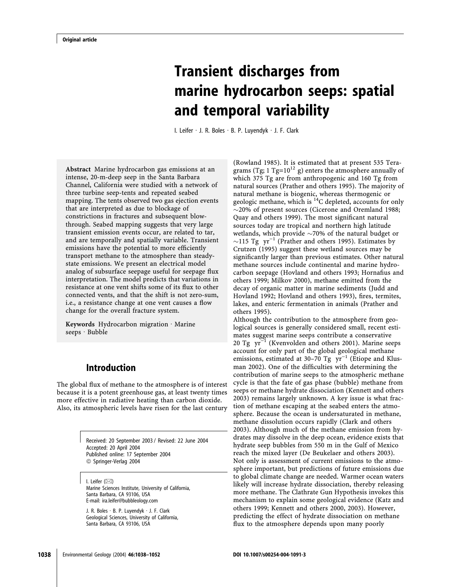# Transient discharges from marine hydrocarbon seeps: spatial and temporal variability

I. Leifer  $\cdot$  J. R. Boles  $\cdot$  B. P. Luyendyk  $\cdot$  J. F. Clark

Abstract Marine hydrocarbon gas emissions at an intense, 20-m-deep seep in the Santa Barbara Channel, California were studied with a network of three turbine seep-tents and repeated seabed mapping. The tents observed two gas ejection events that are interpreted as due to blockage of constrictions in fractures and subsequent blowthrough. Seabed mapping suggests that very large transient emission events occur, are related to tar, and are temporally and spatially variable. Transient emissions have the potential to more efficiently transport methane to the atmosphere than steadystate emissions. We present an electrical model analog of subsurface seepage useful for seepage flux interpretation. The model predicts that variations in resistance at one vent shifts some of its flux to other connected vents, and that the shift is not zero-sum, i.e., a resistance change at one vent causes a flow change for the overall fracture system.

Keywords Hydrocarbon migration  $\cdot$  Marine  $seeps \cdot Bubble$ 

# Introduction

The global flux of methane to the atmosphere is of interest because it is a potent greenhouse gas, at least twenty times more effective in radiative heating than carbon dioxide. Also, its atmospheric levels have risen for the last century

> Received: 20 September 2003 / Revised: 22 June 2004 Accepted: 20 April 2004 Published online: 17 September 2004 ª Springer-Verlag 2004

I. Leifer  $(\boxtimes)$ Marine Sciences Institute, University of California, Santa Barbara, CA 93106, USA E-mail: ira.leifer@bubbleology.com

J. R. Boles · B. P. Luyendyk · J. F. Clark Geological Sciences, University of California, Santa Barbara, CA 93106, USA

(Rowland 1985). It is estimated that at present 535 Teragrams (Tg;  $1 \text{ Tg}=10^{12} \text{ g}$ ) enters the atmosphere annually of which 375 Tg are from anthropogenic and 160 Tg from natural sources (Prather and others 1995). The majority of natural methane is biogenic, whereas thermogenic or geologic methane, which is 14C depleted, accounts for only  $\sim$ 20% of present sources (Cicerone and Oremland 1988; Quay and others 1999). The most significant natural sources today are tropical and northern high latitude wetlands, which provide  $\sim$ 70% of the natural budget or  $\sim$ 115 Tg yr<sup>-1</sup> (Prather and others 1995). Estimates by Crutzen (1995) suggest these wetland sources may be significantly larger than previous estimates. Other natural methane sources include continental and marine hydrocarbon seepage (Hovland and others 1993; Hornafius and others 1999; Milkov 2000), methane emitted from the decay of organic matter in marine sediments (Judd and Hovland 1992; Hovland and others 1993), fires, termites, lakes, and enteric fermentation in animals (Prather and others 1995).

Although the contribution to the atmosphere from geological sources is generally considered small, recent estimates suggest marine seeps contribute a conservative 20 Tg  $yr^{-1}$  (Kvenvolden and others 2001). Marine seeps account for only part of the global geological methane emissions, estimated at 30-70 Tg  $yr^{-1}$  (Etiope and Klusman 2002). One of the difficulties with determining the contribution of marine seeps to the atmospheric methane cycle is that the fate of gas phase (bubble) methane from seeps or methane hydrate dissociation (Kennett and others 2003) remains largely unknown. A key issue is what fraction of methane escaping at the seabed enters the atmosphere. Because the ocean is undersaturated in methane, methane dissolution occurs rapidly (Clark and others 2003). Although much of the methane emission from hydrates may dissolve in the deep ocean, evidence exists that hydrate seep bubbles from 550 m in the Gulf of Mexico reach the mixed layer (De Beukelaer and others 2003). Not only is assessment of current emissions to the atmosphere important, but predictions of future emissions due to global climate change are needed. Warmer ocean waters likely will increase hydrate dissociation, thereby releasing more methane. The Clathrate Gun Hypothesis invokes this mechanism to explain some geological evidence (Katz and others 1999; Kennett and others 2000, 2003). However, predicting the effect of hydrate dissociation on methane flux to the atmosphere depends upon many poorly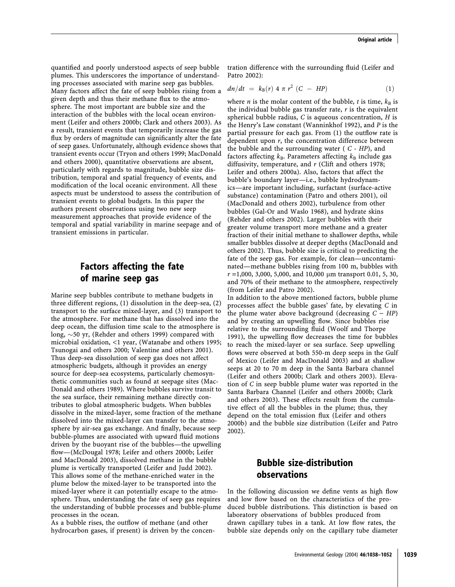quantified and poorly understood aspects of seep bubble plumes. This underscores the importance of understanding processes associated with marine seep gas bubbles. Many factors affect the fate of seep bubbles rising from a given depth and thus their methane flux to the atmosphere. The most important are bubble size and the interaction of the bubbles with the local ocean environment (Leifer and others 2000b; Clark and others 2003). As a result, transient events that temporarily increase the gas flux by orders of magnitude can significantly alter the fate of seep gases. Unfortunately, although evidence shows that transient events occur (Tryon and others 1999; MacDonald and others 2000), quantitative observations are absent, particularly with regards to magnitude, bubble size distribution, temporal and spatial frequency of events, and modification of the local oceanic environment. All these aspects must be understood to assess the contribution of transient events to global budgets. In this paper the authors present observations using two new seep measurement approaches that provide evidence of the temporal and spatial variability in marine seepage and of transient emissions in particular.

# Factors affecting the fate of marine seep gas

Marine seep bubbles contribute to methane budgets in three different regions, (1) dissolution in the deep-sea, (2) transport to the surface mixed-layer, and (3) transport to the atmosphere. For methane that has dissolved into the deep ocean, the diffusion time scale to the atmosphere is long,  $\sim$ 50 yr, (Rehder and others 1999) compared with microbial oxidation, <1 year, (Watanabe and others 1995; Tsunogai and others 2000; Valentine and others 2001). Thus deep-sea dissolution of seep gas does not affect atmospheric budgets, although it provides an energy source for deep-sea ecosystems, particularly chemosynthetic communities such as found at seepage sites (Mac-Donald and others 1989). Where bubbles survive transit to the sea surface, their remaining methane directly contributes to global atmospheric budgets. When bubbles dissolve in the mixed-layer, some fraction of the methane dissolved into the mixed-layer can transfer to the atmosphere by air-sea gas exchange. And finally, because seep bubble-plumes are associated with upward fluid motions driven by the buoyant rise of the bubbles—the upwelling flow—(McDougal 1978; Leifer and others 2000b; Leifer and MacDonald 2003), dissolved methane in the bubble plume is vertically transported (Leifer and Judd 2002). This allows some of the methane-enriched water in the plume below the mixed-layer to be transported into the mixed-layer where it can potentially escape to the atmosphere. Thus, understanding the fate of seep gas requires the understanding of bubble processes and bubble-plume processes in the ocean.

As a bubble rises, the outflow of methane (and other hydrocarbon gases, if present) is driven by the concentration difference with the surrounding fluid (Leifer and Patro 2002):

$$
dn/dt = k_{B}(r) 4 \pi r^{2} (C - HP)
$$
 (1)

where *n* is the molar content of the bubble, *t* is time,  $k_B$  is the individual bubble gas transfer rate,  $r$  is the equivalent spherical bubble radius,  $C$  is aqueous concentration,  $H$  is the Henry's Law constant (Wanninkhof 1992), and P is the partial pressure for each gas. From (1) the outflow rate is dependent upon  $r$ , the concentration difference between the bubble and the surrounding water ( $C - HP$ ), and factors affecting  $k_B$ . Parameters affecting  $k_B$  include gas diffusivity, temperature, and  $r$  (Clift and others 1978; Leifer and others 2000a). Also, factors that affect the bubble's boundary layer—i.e., bubble hydrodynamics—are important including, surfactant (surface-active substance) contamination (Patro and others 2001), oil (MacDonald and others 2002), turbulence from other bubbles (Gal-Or and Waslo 1968), and hydrate skins (Rehder and others 2002). Larger bubbles with their greater volume transport more methane and a greater fraction of their initial methane to shallower depths, while smaller bubbles dissolve at deeper depths (MacDonald and others 2002). Thus, bubble size is critical to predicting the fate of the seep gas. For example, for clean—uncontaminated—methane bubbles rising from 100 m, bubbles with r =1,000, 3,000, 5,000, and 10,000 *l*m transport 0.01, 5, 30, and 70% of their methane to the atmosphere, respectively (from Leifer and Patro 2002).

In addition to the above mentioned factors, bubble plume processes affect the bubble gases' fate, by elevating C in the plume water above background (decreasing  $C - HP$ ) and by creating an upwelling flow. Since bubbles rise relative to the surrounding fluid (Woolf and Thorpe 1991), the upwelling flow decreases the time for bubbles to reach the mixed-layer or sea surface. Seep upwelling flows were observed at both 550-m deep seeps in the Gulf of Mexico (Leifer and MacDonald 2003) and at shallow seeps at 20 to 70 m deep in the Santa Barbara channel (Leifer and others 2000b; Clark and others 2003). Elevation of C in seep bubble plume water was reported in the Santa Barbara Channel (Leifer and others 2000b; Clark and others 2003). These effects result from the cumulative effect of all the bubbles in the plume; thus, they depend on the total emission flux (Leifer and others 2000b) and the bubble size distribution (Leifer and Patro 2002).

# Bubble size-distribution observations

In the following discussion we define vents as high flow and low flow based on the characteristics of the produced bubble distributions. This distinction is based on laboratory observations of bubbles produced from drawn capillary tubes in a tank. At low flow rates, the bubble size depends only on the capillary tube diameter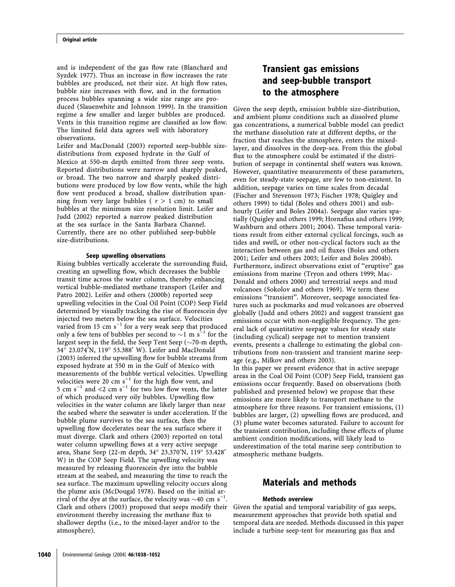and is independent of the gas flow rate (Blanchard and Syzdek 1977). Thus an increase in flow increases the rate bubbles are produced, not their size. At high flow rates, bubble size increases with flow, and in the formation process bubbles spanning a wide size range are produced (Slauenwhite and Johnson 1999). In the transition regime a few smaller and larger bubbles are produced. Vents in this transition regime are classified as low flow. The limited field data agrees well with laboratory observations.

Leifer and MacDonald (2003) reported seep-bubble sizedistributions from exposed hydrate in the Gulf of Mexico at 550-m depth emitted from three seep vents. Reported distributions were narrow and sharply peaked, or broad. The two narrow and sharply peaked distributions were produced by low flow vents, while the high flow vent produced a broad, shallow distribution spanning from very large bubbles ( $r > 1$  cm) to small bubbles at the minimum size resolution limit. Leifer and Judd (2002) reported a narrow peaked distribution at the sea surface in the Santa Barbara Channel. Currently, there are no other published seep-bubble size-distributions.

#### Seep upwelling observations

Rising bubbles vertically accelerate the surrounding fluid, creating an upwelling flow, which decreases the bubble transit time across the water column, thereby enhancing vertical bubble-mediated methane transport (Leifer and Patro 2002). Leifer and others (2000b) reported seep upwelling velocities in the Coal Oil Point (COP) Seep Field determined by visually tracking the rise of fluorescein dye injected two meters below the sea surface. Velocities varied from 15 cm  $s^{-1}$  for a very weak seep that produced only a few tens of bubbles per second to  $\sim$ 1 m s<sup>-1</sup> for the largest seep in the field, the Seep Tent Seep ( $\sim$ 70-m depth, 34° 23.074'N, 119° 53.388' W). Leifer and MacDonald (2003) inferred the upwelling flow for bubble streams from exposed hydrate at 550 m in the Gulf of Mexico with measurements of the bubble vertical velocities. Upwelling velocities were 20 cm  $s^{-1}$  for the high flow vent, and 5 cm s<sup>-1</sup> and <2 cm s<sup>-1</sup> for two low flow vents, the latter of which produced very oily bubbles. Upwelling flow velocities in the water column are likely larger than near the seabed where the seawater is under acceleration. If the bubble plume survives to the sea surface, then the upwelling flow decelerates near the sea surface where it must diverge. Clark and others (2003) reported on total water column upwelling flows at a very active seepage area, Shane Seep (22-m depth, 34° 23.370'N, 119° 53.428' W) in the COP Seep Field. The upwelling velocity was measured by releasing fluorescein dye into the bubble stream at the seabed, and measuring the time to reach the sea surface. The maximum upwelling velocity occurs along the plume axis (McDougal 1978). Based on the initial arrival of the dye at the surface, the velocity was  $\sim$ 40 cm s<sup>-1</sup>. Clark and others (2003) proposed that seeps modify their environment thereby increasing the methane flux to shallower depths (i.e., to the mixed-layer and/or to the atmosphere).

# Transient gas emissions and seep-bubble transport to the atmosphere

Given the seep depth, emission bubble size-distribution, and ambient plume conditions such as dissolved plume gas concentrations, a numerical bubble model can predict the methane dissolution rate at different depths, or the fraction that reaches the atmosphere, enters the mixedlayer, and dissolves in the deep-sea. From this the global flux to the atmosphere could be estimated if the distribution of seepage in continental shelf waters was known. However, quantitative measurements of these parameters, even for steady-state seepage, are few to non-existent. In addition, seepage varies on time scales from decadal (Fischer and Stevenson 1973; Fischer 1978; Quigley and others 1999) to tidal (Boles and others 2001) and subhourly (Leifer and Boles 2004a). Seepage also varies spatially (Quigley and others 1999; Hornafius and others 1999; Washburn and others 2001; 2004). These temporal variations result from either external cyclical forcings, such as tides and swell, or other non-cyclical factors such as the interaction between gas and oil fluxes (Boles and others 2001; Leifer and others 2003; Leifer and Boles 2004b). Furthermore, indirect observations exist of "eruptive" gas emissions from marine (Tryon and others 1999; Mac-Donald and others 2000) and terrestrial seeps and mud volcanoes (Sokolov and others 1969). We term these emissions "transient". Moreover, seepage associated features such as pockmarks and mud volcanoes are observed globally (Judd and others 2002) and suggest transient gas emissions occur with non-negligible frequency. The general lack of quantitative seepage values for steady state (including cyclical) seepage not to mention transient events, presents a challenge to estimating the global contributions from non-transient and transient marine seepage (e.g., Milkov and others 2003). In this paper we present evidence that in active seepage areas in the Coal Oil Point (COP) Seep Field, transient gas emissions occur frequently. Based on observations (both

published and presented below) we propose that these emissions are more likely to transport methane to the atmosphere for three reasons. For transient emissions, (1) bubbles are larger, (2) upwelling flows are produced, and (3) plume water becomes saturated. Failure to account for the transient contribution, including these effects of plume ambient condition modifications, will likely lead to underestimation of the total marine seep contribution to atmospheric methane budgets.

### Materials and methods

#### Methods overview

Given the spatial and temporal variability of gas seeps, measurement approaches that provide both spatial and temporal data are needed. Methods discussed in this paper include a turbine seep-tent for measuring gas flux and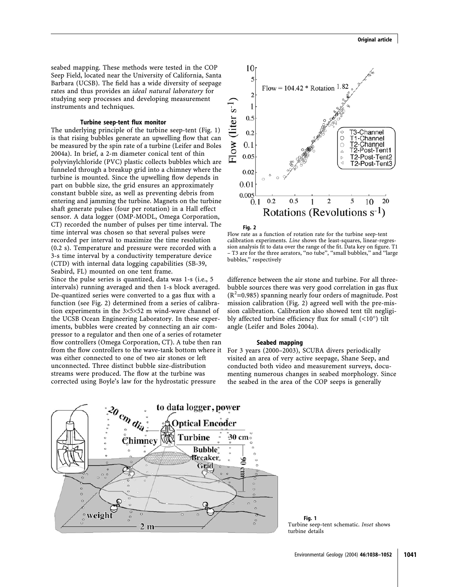seabed mapping. These methods were tested in the COP Seep Field, located near the University of California, Santa Barbara (UCSB). The field has a wide diversity of seepage rates and thus provides an ideal natural laboratory for studying seep processes and developing measurement instruments and techniques.

#### Turbine seep-tent flux monitor

The underlying principle of the turbine seep-tent (Fig. 1) is that rising bubbles generate an upwelling flow that can be measured by the spin rate of a turbine (Leifer and Boles 2004a). In brief, a 2-m diameter conical tent of thin polyvinylchloride (PVC) plastic collects bubbles which are funneled through a breakup grid into a chimney where the turbine is mounted. Since the upwelling flow depends in part on bubble size, the grid ensures an approximately constant bubble size, as well as preventing debris from entering and jamming the turbine. Magnets on the turbine shaft generate pulses (four per rotation) in a Hall effect sensor. A data logger (OMP-MODL, Omega Corporation, CT) recorded the number of pulses per time interval. The time interval was chosen so that several pulses were recorded per interval to maximize the time resolution (0.2 s). Temperature and pressure were recorded with a 3-s time interval by a conductivity temperature device (CTD) with internal data logging capabilities (SB-39, Seabird, FL) mounted on one tent frame.

Since the pulse series is quantized, data was 1-s (i.e., 5 intervals) running averaged and then 1-s block averaged. De-quantized series were converted to a gas flux with a function (see Fig. 2) determined from a series of calibration experiments in the  $3\times5\times52$  m wind-wave channel of the UCSB Ocean Engineering Laboratory. In these experiments, bubbles were created by connecting an air compressor to a regulator and then one of a series of rotameter flow controllers (Omega Corporation, CT). A tube then ran from the flow controllers to the wave-tank bottom where it For 3 years (2000–2003), SCUBA divers periodically was either connected to one of two air stones or left unconnected. Three distinct bubble size-distribution streams were produced. The flow at the turbine was corrected using Boyle's law for the hydrostatic pressure







Flow rate as a function of rotation rate for the turbine seep-tent calibration experiments. Line shows the least-squares, linear-regression analysis fit to data over the range of the fit. Data key on figure. T1 – T3 are for the three aerators, ''no tube'', ''small bubbles,'' and ''large bubbles,'' respectively

difference between the air stone and turbine. For all threebubble sources there was very good correlation in gas flux  $(R^2=0.985)$  spanning nearly four orders of magnitude. Post mission calibration (Fig. 2) agreed well with the pre-mission calibration. Calibration also showed tent tilt negligibly affected turbine efficiency flux for small  $(\langle 10^\circ \rangle)$  tilt angle (Leifer and Boles 2004a).

#### Seabed mapping

visited an area of very active seepage, Shane Seep, and conducted both video and measurement surveys, documenting numerous changes in seabed morphology. Since the seabed in the area of the COP seeps is generally

Fig. 1 Turbine seep-tent schematic. Inset shows turbine details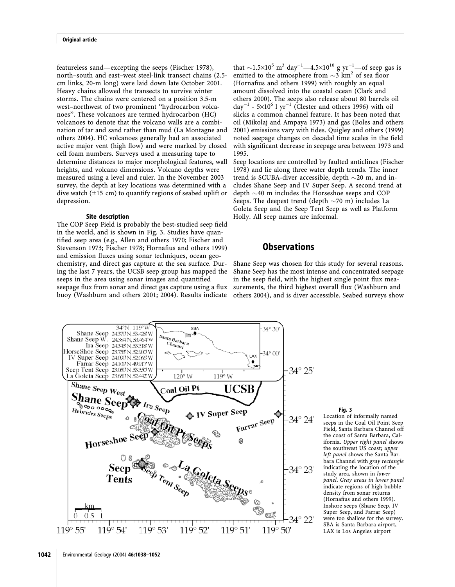featureless sand—excepting the seeps (Fischer 1978), north–south and east–west steel-link transect chains (2.5 cm links, 20-m long) were laid down late October 2001. Heavy chains allowed the transects to survive winter storms. The chains were centered on a position 3.5-m west–northwest of two prominent ''hydrocarbon volcanoes''. These volcanoes are termed hydrocarbon (HC) volcanoes to denote that the volcano walls are a combination of tar and sand rather than mud (La Montagne and others 2004). HC volcanoes generally had an associated active major vent (high flow) and were marked by closed cell foam numbers. Surveys used a measuring tape to determine distances to major morphological features, wall heights, and volcano dimensions. Volcano depths were measured using a level and ruler. In the November 2003 survey, the depth at key locations was determined with a dive watch (±15 cm) to quantify regions of seabed uplift or depression.

#### Site description

The COP Seep Field is probably the best-studied seep field in the world, and is shown in Fig. 3. Studies have quantified seep area (e.g., Allen and others 1970; Fischer and Stevenson 1973; Fischer 1978; Hornafius and others 1999) and emission fluxes using sonar techniques, ocean geochemistry, and direct gas capture at the sea surface. During the last 7 years, the UCSB seep group has mapped the seeps in the area using sonar images and quantified seepage flux from sonar and direct gas capture using a flux buoy (Washburn and others 2001; 2004). Results indicate

that  $\sim$ 1.5 $\times$ 10<sup>5</sup> m<sup>3</sup> day<sup>-1</sup>—4.5 $\times$ 10<sup>10</sup> g yr<sup>-1</sup>—of seep gas is emitted to the atmosphere from  $\sim$ 3 km<sup>2</sup> of sea floor (Hornafius and others 1999) with roughly an equal amount dissolved into the coastal ocean (Clark and others 2000). The seeps also release about 80 barrels oil  $day^{-1}$  - 5×10<sup>6</sup> l yr<sup>-1</sup> (Clester and others 1996) with oil slicks a common channel feature. It has been noted that oil (Mikolaj and Ampaya 1973) and gas (Boles and others 2001) emissions vary with tides. Quigley and others (1999) noted seepage changes on decadal time scales in the field with significant decrease in seepage area between 1973 and 1995.

Seep locations are controlled by faulted anticlines (Fischer 1978) and lie along three water depth trends. The inner trend is SCUBA-diver accessible, depth  $\sim$ 20 m, and includes Shane Seep and IV Super Seep. A second trend at depth  $\sim$ 40 m includes the Horseshoe seeps and COP Seeps. The deepest trend (depth  $\sim$ 70 m) includes La Goleta Seep and the Seep Tent Seep as well as Platform Holly. All seep names are informal.

### **Observations**

Shane Seep was chosen for this study for several reasons. Shane Seep has the most intense and concentrated seepage in the seep field, with the highest single point flux measurements, the third highest overall flux (Washburn and others 2004), and is diver accessible. Seabed surveys show



#### Fig. 3

Location of informally named seeps in the Coal Oil Point Seep Field, Santa Barbara Channel off the coast of Santa Barbara, California. Upper right panel shows the southwest US coast; upper left panel shows the Santa Barbara Channel with gray rectangle indicating the location of the study area, shown in lower panel. Gray areas in lower panel indicate regions of high bubble density from sonar returns (Hornafius and others 1999). Inshore seeps (Shane Seep, IV Super Seep, and Farrar Seep) were too shallow for the survey. SBA is Santa Barbara airport, LAX is Los Angeles airport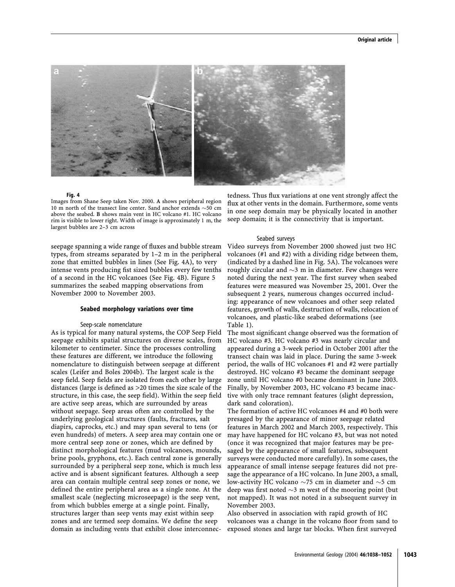

#### Fig. 4

Images from Shane Seep taken Nov. 2000. A shows peripheral region 10 m north of the transect line center. Sand anchor extends  $\sim$  50 cm above the seabed. B shows main vent in HC volcano #1. HC volcano rim is visible to lower right. Width of image is approximately 1 m, the largest bubbles are 2–3 cm across

seepage spanning a wide range of fluxes and bubble stream types, from streams separated by 1–2 m in the peripheral zone that emitted bubbles in lines (See Fig. 4A), to very intense vents producing fist sized bubbles every few tenths of a second in the HC volcanoes (See Fig. 4B). Figure 5 summarizes the seabed mapping observations from November 2000 to November 2003.

#### Seabed morphology variations over time

#### Seep-scale nomenclature

As is typical for many natural systems, the COP Seep Field seepage exhibits spatial structures on diverse scales, from kilometer to centimeter. Since the processes controlling these features are different, we introduce the following nomenclature to distinguish between seepage at different scales (Leifer and Boles 2004b). The largest scale is the seep field. Seep fields are isolated from each other by large distances (large is defined as >20 times the size scale of the structure, in this case, the seep field). Within the seep field are active seep areas, which are surrounded by areas without seepage. Seep areas often are controlled by the underlying geological structures (faults, fractures, salt diapirs, caprocks, etc.) and may span several to tens (or even hundreds) of meters. A seep area may contain one or more central seep zone or zones, which are defined by distinct morphological features (mud volcanoes, mounds, brine pools, gryphons, etc.). Each central zone is generally surrounded by a peripheral seep zone, which is much less active and is absent significant features. Although a seep area can contain multiple central seep zones or none, we defined the entire peripheral area as a single zone. At the smallest scale (neglecting microseepage) is the seep vent, from which bubbles emerge at a single point. Finally, structures larger than seep vents may exist within seep zones and are termed seep domains. We define the seep domain as including vents that exhibit close interconnec-

tedness. Thus flux variations at one vent strongly affect the flux at other vents in the domain. Furthermore, some vents in one seep domain may be physically located in another seep domain; it is the connectivity that is important.

#### Seabed surveys

Video surveys from November 2000 showed just two HC volcanoes (#1 and #2) with a dividing ridge between them, (indicated by a dashed line in Fig. 5A). The volcanoes were roughly circular and  $\sim$ 3 m in diameter. Few changes were noted during the next year. The first survey when seabed features were measured was November 25, 2001. Over the subsequent 2 years, numerous changes occurred including: appearance of new volcanoes and other seep related features, growth of walls, destruction of walls, relocation of volcanoes, and plastic-like seabed deformations (see Table 1).

The most significant change observed was the formation of HC volcano #3. HC volcano #3 was nearly circular and appeared during a 3-week period in October 2001 after the transect chain was laid in place. During the same 3-week period, the walls of HC volcanoes #1 and #2 were partially destroyed. HC volcano #3 became the dominant seepage zone until HC volcano #0 became dominant in June 2003. Finally, by November 2003, HC volcano #3 became inactive with only trace remnant features (slight depression, dark sand coloration).

The formation of active HC volcanoes #4 and #0 both were presaged by the appearance of minor seepage related features in March 2002 and March 2003, respectively. This may have happened for HC volcano #3, but was not noted (once it was recognized that major features may be presaged by the appearance of small features, subsequent surveys were conducted more carefully). In some cases, the appearance of small intense seepage features did not presage the appearance of a HC volcano. In June 2003, a small, low-activity HC volcano  $\sim$ 75 cm in diameter and  $\sim$ 5 cm deep was first noted  $\sim$ 3 m west of the mooring point (but not mapped). It was not noted in a subsequent survey in November 2003.

Also observed in association with rapid growth of HC volcanoes was a change in the volcano floor from sand to exposed stones and large tar blocks. When first surveyed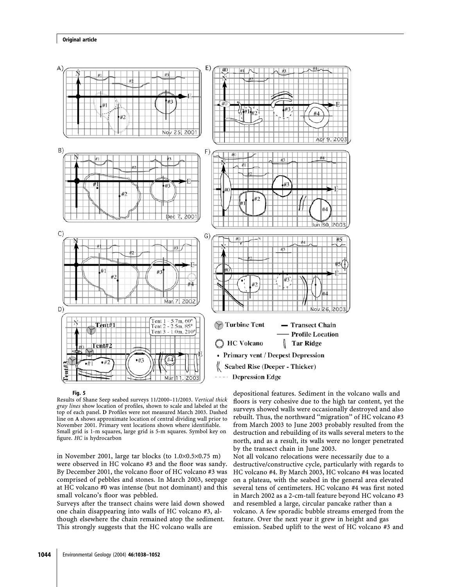#### Original article



Fig. 5

Results of Shane Seep seabed surveys 11/2000–11/2003. Vertical thick gray lines show location of profiles, shown to scale and labeled at the top of each panel. D Profiles were not measured March 2003. Dashed line on A shows approximate location of central dividing wall prior to November 2001. Primary vent locations shown where identifiable. Small grid is 1-m squares, large grid is 5-m squares. Symbol key on figure. HC is hydrocarbon

in November 2001, large tar blocks (to  $1.0 \times 0.5 \times 0.75$  m) were observed in HC volcano #3 and the floor was sandy. By December 2001, the volcano floor of HC volcano #3 was comprised of pebbles and stones. In March 2003, seepage at HC volcano #0 was intense (but not dominant) and this small volcano's floor was pebbled.

Surveys after the transect chains were laid down showed one chain disappearing into walls of HC volcano #3, although elsewhere the chain remained atop the sediment. This strongly suggests that the HC volcano walls are

depositional features. Sediment in the volcano walls and floors is very cohesive due to the high tar content, yet the surveys showed walls were occasionally destroyed and also rebuilt. Thus, the northward ''migration'' of HC volcano #3 from March 2003 to June 2003 probably resulted from the destruction and rebuilding of its walls several meters to the north, and as a result, its walls were no longer penetrated by the transect chain in June 2003.

Not all volcano relocations were necessarily due to a destructive/constructive cycle, particularly with regards to HC volcano #4. By March 2003, HC volcano #4 was located on a plateau, with the seabed in the general area elevated several tens of centimeters. HC volcano #4 was first noted in March 2002 as a 2-cm-tall feature beyond HC volcano #3 and resembled a large, circular pancake rather than a volcano. A few sporadic bubble streams emerged from the feature. Over the next year it grew in height and gas emission. Seabed uplift to the west of HC volcano #3 and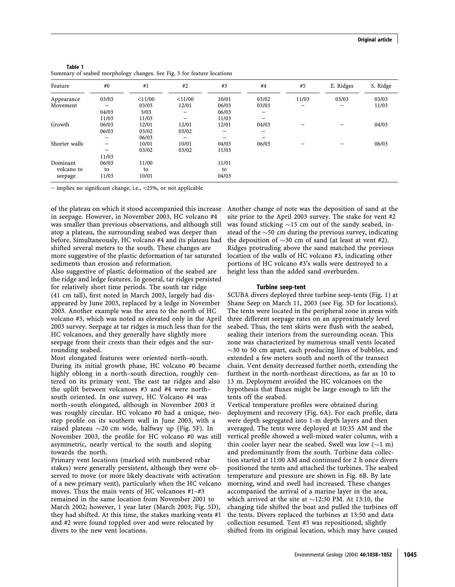| Table 1                                                                |  |  |
|------------------------------------------------------------------------|--|--|
| Summary of seabed morphology changes. See Fig. 5 for feature locations |  |  |

| Feature       | #0                       | #1     | #2                       | #3    | #4    | #5                       | E. Ridges                | S. Ridge |
|---------------|--------------------------|--------|--------------------------|-------|-------|--------------------------|--------------------------|----------|
| Appearance    | 03/03                    | <11/00 | $<$ 11/00                | 10/01 | 03/02 | 11/03                    | 03/03                    | 03/03    |
| Movement      | -                        | 03/03  | 12/01                    | 06/03 | 03/03 | $\overline{\phantom{0}}$ | $\overline{\phantom{m}}$ | 11/03    |
|               | 04/03                    | 3/03   | -                        | 06/03 | -     |                          |                          |          |
|               | 11/03                    | 11/03  | $\overline{\phantom{0}}$ | 11/03 |       |                          |                          |          |
| Growth        | 06/03                    | 12/01  | 12/01                    | 12/01 | 04/03 |                          |                          | 04/03    |
|               | 06/03                    | 03/02  | 03/02                    | —     | -     |                          |                          |          |
|               | -                        | 06/03  |                          |       |       |                          |                          |          |
| Shorter walls | -                        | 10/01  | 10/01                    | 04/03 | 06/03 | -                        | -                        | 06/03    |
|               | $\overline{\phantom{m}}$ | 03/02  | 03/02                    | 11/03 |       |                          |                          |          |
|               | 11/03                    |        |                          |       |       |                          |                          |          |
| Dominant      | 06/03                    | 11/00  |                          | 11/01 |       |                          |                          |          |
| volcano to    | to                       | to     |                          | to    |       |                          |                          |          |
| seepage       | 11/03                    | 10/01  |                          | 04/03 |       |                          |                          |          |

 $-$  implies no significant change, i.e., <25%, or not applicable

of the plateau on which it stood accompanied this increase in seepage. However, in November 2003, HC volcano #4 was smaller than previous observations, and although still atop a plateau, the surrounding seabed was deeper than before. Simultaneously, HC volcano #4 and its plateau had shifted several meters to the south. These changes are more suggestive of the plastic deformation of tar saturated sediments than erosion and reformation.

Also suggestive of plastic deformation of the seabed are the ridge and ledge features. In general, tar ridges persisted for relatively short time periods. The south tar ridge (41 cm tall), first noted in March 2003, largely had disappeared by June 2003, replaced by a ledge in November 2003. Another example was the area to the north of HC volcano #3, which was noted as elevated only in the April 2003 survey. Seepage at tar ridges is much less than for the HC volcanoes, and they generally have slightly more seepage from their crests than their edges and the surrounding seabed.

Most elongated features were oriented north–south. During its initial growth phase, HC volcano #0 became highly oblong in a north–south direction, roughly centered on its primary vent. The east tar ridges and also the uplift between volcanoes #3 and #4 were north– south oriented. In one survey, HC Volcano #4 was north–south elongated, although in November 2003 it was roughly circular. HC volcano #0 had a unique, twostep profile on its southern wall in June 2003, with a raised plateau  $\sim$ 20 cm wide, halfway up (Fig. 5F). In November 2003, the profile for HC volcano #0 was still asymmetric, nearly vertical to the south and sloping towards the north.

Primary vent locations (marked with numbered rebar stakes) were generally persistent, although they were observed to move (or more likely deactivate with activation of a new primary vent), particularly when the HC volcano moves. Thus the main vents of HC volcanoes #1–#3 remained in the same location from November 2001 to March 2002; however, 1 year later (March 2003; Fig. 5D), they had shifted. At this time, the stakes marking vents #1 and #2 were found toppled over and were relocated by divers to the new vent locations.

Another change of note was the deposition of sand at the site prior to the April 2003 survey. The stake for vent #2 was found sticking  $\sim$ 15 cm out of the sandy seabed, instead of the  $\sim$ 50 cm during the previous survey, indicating the deposition of  $\sim$ 30 cm of sand (at least at vent #2). Ridges protruding above the sand matched the previous location of the walls of HC volcano #3, indicating other portions of HC volcano #3's walls were destroyed to a height less than the added sand overburden.

#### Turbine seep-tent

SCUBA divers deployed three turbine seep-tents (Fig. 1) at Shane Seep on March 11, 2003 (see Fig. 5D for locations). The tents were located in the peripheral zone in areas with three different seepage rates on an approximately level seabed. Thus, the tent skirts were flush with the seabed, sealing their interiors from the surrounding ocean. This zone was characterized by numerous small vents located  $\sim$ 30 to 50 cm apart, each producing lines of bubbles, and extended a few meters south and north of the transect chain. Vent density decreased further north, extending the furthest in the north-northeast directions, as far as 10 to 13 m. Deployment avoided the HC volcanoes on the hypothesis that fluxes might be large enough to lift the tents off the seabed.

Vertical temperature profiles were obtained during deployment and recovery (Fig. 6A). For each profile, data were depth segregated into 1-m depth layers and then averaged. The tents were deployed at 10:35 AM and the vertical profile showed a well-mixed water column, with a thin cooler layer near the seabed. Swell was low  $(\sim 1 \text{ m})$ and predominantly from the south. Turbine data collection started at 11:00 AM and continued for 2 h once divers positioned the tents and attached the turbines. The seabed temperature and pressure are shown in Fig. 6B. By late morning, wind and swell had increased. These changes accompanied the arrival of a marine layer in the area, which arrived at the site at  $\sim$ 12:30 PM. At 13:10, the changing tide shifted the boat and pulled the turbines off the tents. Divers replaced the turbines at 13:50 and data collection resumed. Tent #3 was repositioned, slightly shifted from its original location, which may have caused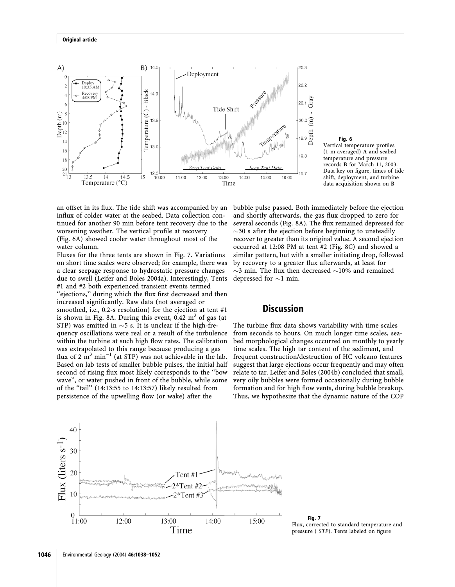

Fig. 6

Vertical temperature profiles (1-m averaged) A and seabed temperature and pressure records B for March 11, 2003. Data key on figure, times of tide shift, deployment, and turbine data acquisition shown on B

an offset in its flux. The tide shift was accompanied by an influx of colder water at the seabed. Data collection continued for another 90 min before tent recovery due to the worsening weather. The vertical profile at recovery (Fig. 6A) showed cooler water throughout most of the water column.

Fluxes for the three tents are shown in Fig. 7. Variations on short time scales were observed; for example, there was a clear seepage response to hydrostatic pressure changes due to swell (Leifer and Boles 2004a). Interestingly, Tents #1 and #2 both experienced transient events termed ''ejections,'' during which the flux first decreased and then increased significantly. Raw data (not averaged or smoothed, i.e., 0.2-s resolution) for the ejection at tent #1 is shown in Fig. 8A. During this event,  $0.42 \text{ m}^3$  of gas (at STP) was emitted in  $\sim$ 5 s. It is unclear if the high-frequency oscillations were real or a result of the turbulence within the turbine at such high flow rates. The calibration was extrapolated to this range because producing a gas flux of 2  $m<sup>3</sup> min<sup>-1</sup>$  (at STP) was not achievable in the lab. Based on lab tests of smaller bubble pulses, the initial half second of rising flux most likely corresponds to the ''bow wave'', or water pushed in front of the bubble, while some of the "tail" (14:13:55 to 14:13:57) likely resulted from persistence of the upwelling flow (or wake) after the

bubble pulse passed. Both immediately before the ejection and shortly afterwards, the gas flux dropped to zero for several seconds (Fig. 8A). The flux remained depressed for  $\sim$ 30 s after the ejection before beginning to unsteadily recover to greater than its original value. A second ejection occurred at 12:08 PM at tent #2 (Fig. 8C) and showed a similar pattern, but with a smaller initiating drop, followed by recovery to a greater flux afterwards, at least for  $\sim$ 3 min. The flux then decreased  $\sim$ 10% and remained depressed for  $\sim$ 1 min.

### **Discussion**

The turbine flux data shows variability with time scales from seconds to hours. On much longer time scales, seabed morphological changes occurred on monthly to yearly time scales. The high tar content of the sediment, and frequent construction/destruction of HC volcano features suggest that large ejections occur frequently and may often relate to tar. Leifer and Boles (2004b) concluded that small, very oily bubbles were formed occasionally during bubble formation and for high flow vents, during bubble breakup. Thus, we hypothesize that the dynamic nature of the COP



Fig. 7 Flux, corrected to standard temperature and pressure ( STP). Tents labeled on figure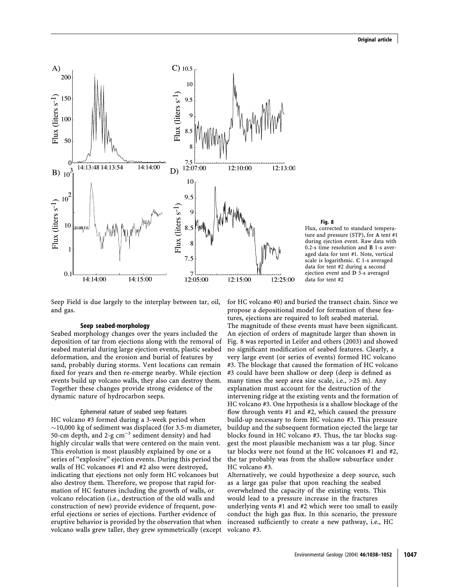

#### Fig. 8

Flux, corrected to standard temperature and pressure (STP), for A tent #1 during ejection event. Raw data with 0.2-s time resolution and B 1-s averaged data for tent #1. Note, vertical scale is logarithmic. C 1-s averaged data for tent #2 during a second ejection event and D 5-s averaged data for tent #2

Seep Field is due largely to the interplay between tar, oil, and gas.

#### Seep seabed-morphology

Seabed morphology changes over the years included the deposition of tar from ejections along with the removal of seabed material during large ejection events, plastic seabed deformation, and the erosion and burial of features by sand, probably during storms. Vent locations can remain fixed for years and then re-emerge nearby. While ejection events build up volcano walls, they also can destroy them. Together these changes provide strong evidence of the dynamic nature of hydrocarbon seeps.

Ephemeral nature of seabed seep features HC volcano #3 formed during a 3-week period when  $\sim$ 10,000 kg of sediment was displaced (for 3.5-m diameter, 50-cm depth, and 2-g  $cm^{-3}$  sediment density) and had highly circular walls that were centered on the main vent. This evolution is most plausibly explained by one or a series of ''explosive'' ejection events. During this period the walls of HC volcanoes #1 and #2 also were destroyed, indicating that ejections not only form HC volcanoes but also destroy them. Therefore, we propose that rapid formation of HC features including the growth of walls, or volcano relocation (i.e., destruction of the old walls and construction of new) provide evidence of frequent, powerful ejections or series of ejections. Further evidence of eruptive behavior is provided by the observation that when volcano walls grew taller, they grew symmetrically (except

for HC volcano #0) and buried the transect chain. Since we propose a depositional model for formation of these features, ejections are required to loft seabed material. The magnitude of these events must have been significant. An ejection of orders of magnitude larger than shown in Fig. 8 was reported in Leifer and others (2003) and showed no significant modification of seabed features. Clearly, a very large event (or series of events) formed HC volcano #3. The blockage that caused the formation of HC volcano #3 could have been shallow or deep (deep is defined as many times the seep area size scale, i.e.,  $>25$  m). Any explanation must account for the destruction of the intervening ridge at the existing vents and the formation of HC volcano #3. One hypothesis is a shallow blockage of the flow through vents #1 and #2, which caused the pressure build-up necessary to form HC volcano #3. This pressure buildup and the subsequent formation ejected the large tar blocks found in HC volcano #3. Thus, the tar blocks suggest the most plausible mechanism was a tar plug. Since tar blocks were not found at the HC volcanoes #1 and #2, the tar probably was from the shallow subsurface under HC volcano #3.

Alternatively, we could hypothesize a deep source, such as a large gas pulse that upon reaching the seabed overwhelmed the capacity of the existing vents. This would lead to a pressure increase in the fractures underlying vents #1 and #2 which were too small to easily conduct the high gas flux. In this scenario, the pressure increased sufficiently to create a new pathway, i.e., HC volcano #3.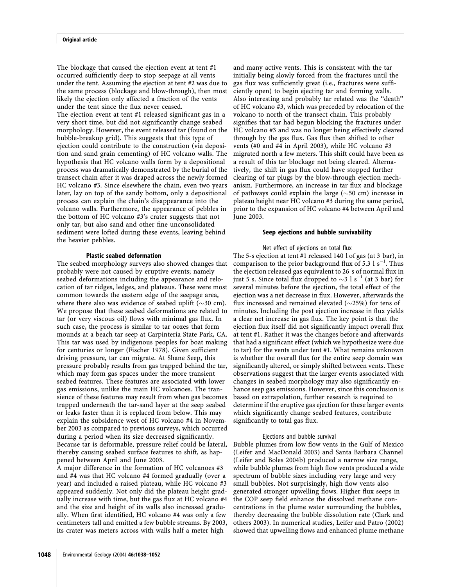The blockage that caused the ejection event at tent #1 occurred sufficiently deep to stop seepage at all vents under the tent. Assuming the ejection at tent #2 was due to the same process (blockage and blow-through), then most likely the ejection only affected a fraction of the vents under the tent since the flux never ceased.

The ejection event at tent #1 released significant gas in a very short time, but did not significantly change seabed morphology. However, the event released tar (found on the bubble-breakup grid). This suggests that this type of ejection could contribute to the construction (via deposition and sand grain cementing) of HC volcano walls. The hypothesis that HC volcano walls form by a depositional process was dramatically demonstrated by the burial of the transect chain after it was draped across the newly formed HC volcano #3. Since elsewhere the chain, even two years later, lay on top of the sandy bottom, only a depositional process can explain the chain's disappearance into the volcano walls. Furthermore, the appearance of pebbles in the bottom of HC volcano #3's crater suggests that not only tar, but also sand and other fine unconsolidated sediment were lofted during these events, leaving behind the heavier pebbles.

#### Plastic seabed deformation

The seabed morphology surveys also showed changes that probably were not caused by eruptive events; namely seabed deformations including the appearance and relocation of tar ridges, ledges, and plateaus. These were most common towards the eastern edge of the seepage area, where there also was evidence of seabed uplift ( $\sim$ 30 cm). We propose that these seabed deformations are related to tar (or very viscous oil) flows with minimal gas flux. In such case, the process is similar to tar oozes that form mounds at a beach tar seep at Carpinteria State Park, CA. This tar was used by indigenous peoples for boat making for centuries or longer (Fischer 1978). Given sufficient driving pressure, tar can migrate. At Shane Seep, this pressure probably results from gas trapped behind the tar, which may form gas spaces under the more transient seabed features. These features are associated with lower gas emissions, unlike the main HC volcanoes. The transience of these features may result from when gas becomes trapped underneath the tar-sand layer at the seep seabed or leaks faster than it is replaced from below. This may explain the subsidence west of HC volcano #4 in November 2003 as compared to previous surveys, which occurred during a period when its size decreased significantly. Because tar is deformable, pressure relief could be lateral, thereby causing seabed surface features to shift, as happened between April and June 2003.

A major difference in the formation of HC volcanoes #3 and #4 was that HC volcano #4 formed gradually (over a year) and included a raised plateau, while HC volcano #3 appeared suddenly. Not only did the plateau height gradually increase with time, but the gas flux at HC volcano #4 and the size and height of its walls also increased gradually. When first identified, HC volcano #4 was only a few centimeters tall and emitted a few bubble streams. By 2003, its crater was meters across with walls half a meter high

and many active vents. This is consistent with the tar initially being slowly forced from the fractures until the gas flux was sufficiently great (i.e., fractures were sufficiently open) to begin ejecting tar and forming walls. Also interesting and probably tar related was the ''death'' of HC volcano #3, which was preceded by relocation of the volcano to north of the transect chain. This probably signifies that tar had begun blocking the fractures under HC volcano #3 and was no longer being effectively cleared through by the gas flux. Gas flux then shifted to other vents (#0 and #4 in April 2003), while HC volcano #3 migrated north a few meters. This shift could have been as a result of this tar blockage not being cleared. Alternatively, the shift in gas flux could have stopped further clearing of tar plugs by the blow-through ejection mechanism. Furthermore, an increase in tar flux and blockage of pathways could explain the large  $(\sim 50 \text{ cm})$  increase in plateau height near HC volcano #3 during the same period, prior to the expansion of HC volcano #4 between April and June 2003.

#### Seep ejections and bubble survivability

Net effect of ejections on total flux The 5-s ejection at tent #1 released 140 l of gas (at 3 bar), in comparison to the prior background flux of 5.3  $1 s^{-1}$ . Thus the ejection released gas equivalent to 26 s of normal flux in just 5 s. Since total flux dropped to  $\sim$ 3 l s<sup>-1</sup> (at 3 bar) for several minutes before the ejection, the total effect of the ejection was a net decrease in flux. However, afterwards the flux increased and remained elevated  $(\sim 25\%)$  for tens of minutes. Including the post ejection increase in flux yields a clear net increase in gas flux. The key point is that the ejection flux itself did not significantly impact overall flux at tent #1. Rather it was the changes before and afterwards that had a significant effect (which we hypothesize were due to tar) for the vents under tent #1. What remains unknown is whether the overall flux for the entire seep domain was significantly altered, or simply shifted between vents. These observations suggest that the larger events associated with changes in seabed morphology may also significantly enhance seep gas emissions. However, since this conclusion is based on extrapolation, further research is required to determine if the eruptive gas ejection for these larger events which significantly change seabed features, contribute significantly to total gas flux.

#### Ejections and bubble survival

Bubble plumes from low flow vents in the Gulf of Mexico (Leifer and MacDonald 2003) and Santa Barbara Channel (Leifer and Boles 2004b) produced a narrow size range, while bubble plumes from high flow vents produced a wide spectrum of bubble sizes including very large and very small bubbles. Not surprisingly, high flow vents also generated stronger upwelling flows. Higher flux seeps in the COP seep field enhance the dissolved methane concentrations in the plume water surrounding the bubbles, thereby decreasing the bubble dissolution rate (Clark and others 2003). In numerical studies, Leifer and Patro (2002) showed that upwelling flows and enhanced plume methane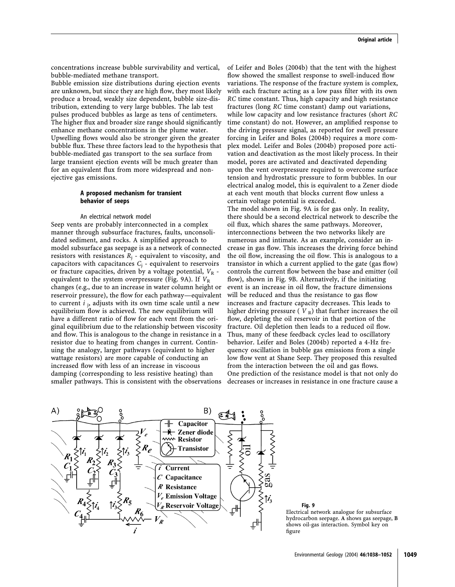concentrations increase bubble survivability and vertical, bubble-mediated methane transport.

Bubble emission size distributions during ejection events are unknown, but since they are high flow, they most likely produce a broad, weakly size dependent, bubble size-distribution, extending to very large bubbles. The lab test pulses produced bubbles as large as tens of centimeters. The higher flux and broader size range should significantly enhance methane concentrations in the plume water. Upwelling flows would also be stronger given the greater bubble flux. These three factors lead to the hypothesis that bubble-mediated gas transport to the sea surface from large transient ejection events will be much greater than for an equivalent flux from more widespread and nonejective gas emissions.

#### A proposed mechanism for transient behavior of seeps

#### An electrical network model

Seep vents are probably interconnected in a complex manner through subsurface fractures, faults, unconsolidated sediment, and rocks. A simplified approach to model subsurface gas seepage is as a network of connected resistors with resistances  $R_i$  - equivalent to viscosity, and capacitors with capacitances  $C_i$  - equivalent to reservoirs or fracture capacities, driven by a voltage potential,  $V_R$  equivalent to the system overpressure (Fig. 9A). If  $V_R$ changes (e.g., due to an increase in water column height or reservoir pressure), the flow for each pathway—equivalent to current  $i_j$ , adjusts with its own time scale until a new equilibrium flow is achieved. The new equilibrium will have a different ratio of flow for each vent from the original equilibrium due to the relationship between viscosity and flow. This is analogous to the change in resistance in a resistor due to heating from changes in current. Continuing the analogy, larger pathways (equivalent to higher wattage resistors) are more capable of conducting an increased flow with less of an increase in viscoous damping (corresponding to less resistive heating) than smaller pathways. This is consistent with the observations

of Leifer and Boles (2004b) that the tent with the highest flow showed the smallest response to swell-induced flow variations. The response of the fracture system is complex, with each fracture acting as a low pass filter with its own RC time constant. Thus, high capacity and high resistance fractures (long RC time constant) damp out variations, while low capacity and low resistance fractures (short RC time constant) do not. However, an amplified response to the driving pressure signal, as reported for swell pressure forcing in Leifer and Boles (2004b) requires a more complex model. Leifer and Boles (2004b) proposed pore activation and deactivation as the most likely process. In their model, pores are activated and deactivated depending upon the vent overpressure required to overcome surface tension and hydrostatic pressure to form bubbles. In our electrical analog model, this is equivalent to a Zener diode at each vent mouth that blocks current flow unless a certain voltage potential is exceeded. The model shown in Fig. 9A is for gas only. In reality, there should be a second electrical network to describe the oil flux, which shares the same pathways. Moreover, interconnections between the two networks likely are numerous and intimate. As an example, consider an increase in gas flow. This increases the driving force behind the oil flow, increasing the oil flow. This is analogous to a transistor in which a current applied to the gate (gas flow) controls the current flow between the base and emitter (oil flow), shown in Fig. 9B. Alternatively, if the initiating event is an increase in oil flow, the fracture dimensions will be reduced and thus the resistance to gas flow increases and fracture capacity decreases. This leads to higher driving pressure ( $V_R$ ) that further increases the oil flow, depleting the oil reservoir in that portion of the fracture. Oil depletion then leads to a reduced oil flow. Thus, many of these feedback cycles lead to oscillatory behavior. Leifer and Boles (2004b) reported a 4-Hz frequency oscillation in bubble gas emissions from a single low flow vent at Shane Seep. They proposed this resulted from the interaction between the oil and gas flows. One prediction of the resistance model is that not only do decreases or increases in resistance in one fracture cause a



Fig. 9 Electrical network analogue for subsurface hydrocarbon seepage. A shows gas seepage, B shows oil-gas interaction. Symbol key on figure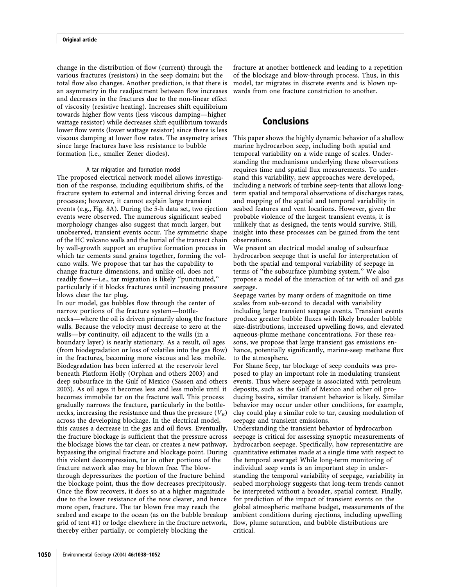change in the distribution of flow (current) through the various fractures (resistors) in the seep domain; but the total flow also changes. Another prediction, is that there is an asymmetry in the readjustment between flow increases and decreases in the fractures due to the non-linear effect of viscosity (resistive heating). Increases shift equilibrium towards higher flow vents (less viscous damping—higher wattage resistor) while decreases shift equilibrium towards lower flow vents (lower wattage resistor) since there is less viscous damping at lower flow rates. The assymetry arises since large fractures have less resistance to bubble formation (i.e., smaller Zener diodes).

#### A tar migration and formation model

The proposed electrical network model allows investigation of the response, including equilibrium shifts, of the fracture system to external and internal driving forces and processes; however, it cannot explain large transient events (e.g., Fig. 8A). During the 5-h data set, two ejection events were observed. The numerous significant seabed morphology changes also suggest that much larger, but unobserved, transient events occur. The symmetric shape of the HC volcano walls and the burial of the transect chain by wall-growth support an eruptive formation process in which tar cements sand grains together, forming the volcano walls. We propose that tar has the capability to change fracture dimensions, and unlike oil, does not readily flow—i.e., tar migration is likely ''punctuated,'' particularly if it blocks fractures until increasing pressure blows clear the tar plug.

In our model, gas bubbles flow through the center of narrow portions of the fracture system—bottlenecks—where the oil is driven primarily along the fracture walls. Because the velocity must decrease to zero at the walls—by continuity, oil adjacent to the walls (in a boundary layer) is nearly stationary. As a result, oil ages (from biodegradation or loss of volatiles into the gas flow) in the fractures, becoming more viscous and less mobile. Biodegradation has been inferred at the reservoir level beneath Platform Holly (Orphan and others 2003) and deep subsurface in the Gulf of Mexico (Sassen and others 2003). As oil ages it becomes less and less mobile until it becomes immobile tar on the fracture wall. This process gradually narrows the fracture, particularly in the bottlenecks, increasing the resistance and thus the pressure  $(V_R)$ across the developing blockage. In the electrical model, this causes a decrease in the gas and oil flows. Eventually, the fracture blockage is sufficient that the pressure across the blockage blows the tar clear, or creates a new pathway, bypassing the original fracture and blockage point. During this violent decompression, tar in other portions of the fracture network also may be blown free. The blowthrough depressurizes the portion of the fracture behind the blockage point, thus the flow decreases precipitously. Once the flow recovers, it does so at a higher magnitude due to the lower resistance of the now clearer, and hence more open, fracture. The tar blown free may reach the seabed and escape to the ocean (as on the bubble breakup grid of tent #1) or lodge elsewhere in the fracture network, thereby either partially, or completely blocking the

fracture at another bottleneck and leading to a repetition of the blockage and blow-through process. Thus, in this model, tar migrates in discrete events and is blown upwards from one fracture constriction to another.

### Conclusions

This paper shows the highly dynamic behavior of a shallow marine hydrocarbon seep, including both spatial and temporal variability on a wide range of scales. Understanding the mechanisms underlying these observations requires time and spatial flux measurements. To understand this variability, new approaches were developed, including a network of turbine seep-tents that allows longterm spatial and temporal observations of discharges rates, and mapping of the spatial and temporal variability in seabed features and vent locations. However, given the probable violence of the largest transient events, it is unlikely that as designed, the tents would survive. Still, insight into these processes can be gained from the tent observations.

We present an electrical model analog of subsurface hydrocarbon seepage that is useful for interpretation of both the spatial and temporal variability of seepage in terms of ''the subsurface plumbing system.'' We also propose a model of the interaction of tar with oil and gas seepage.

Seepage varies by many orders of magnitude on time scales from sub-second to decadal with variability including large transient seepage events. Transient events produce greater bubble fluxes with likely broader bubble size-distributions, increased upwelling flows, and elevated aqueous-plume methane concentrations. For these reasons, we propose that large transient gas emissions enhance, potentially significantly, marine-seep methane flux to the atmosphere.

For Shane Seep, tar blockage of seep conduits was proposed to play an important role in modulating transient events. Thus where seepage is associated with petroleum deposits, such as the Gulf of Mexico and other oil producing basins, similar transient behavior is likely. Similar behavior may occur under other conditions, for example, clay could play a similar role to tar, causing modulation of seepage and transient emissions.

Understanding the transient behavior of hydrocarbon seepage is critical for assessing synoptic measurements of hydrocarbon seepage. Specifically, how representative are quantitative estimates made at a single time with respect to the temporal average? While long-term monitoring of individual seep vents is an important step in understanding the temporal variability of seepage, variability in seabed morphology suggests that long-term trends cannot be interpreted without a broader, spatial context. Finally, for prediction of the impact of transient events on the global atmospheric methane budget, measurements of the ambient conditions during ejections, including upwelling flow, plume saturation, and bubble distributions are critical.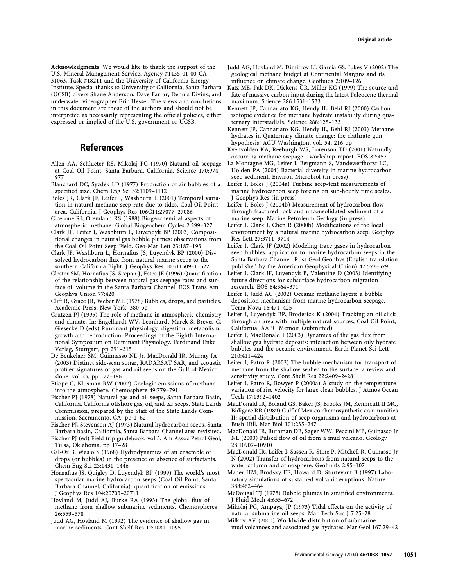Acknowledgments We would like to thank the support of the U.S. Mineral Management Service, Agency #1435-01-00-CA-31063, Task #18211 and the University of California Energy Institute. Special thanks to University of California, Santa Barbara (UCSB) divers Shane Anderson, Dave Farrar, Dennis Divins, and underwater videographer Eric Hessel. The views and conclusions in this document are those of the authors and should not be interpreted as necessarily representing the official policies, either expressed or implied of the U.S. government or UCSB.

## References

- Allen AA, Schlueter RS, Mikolaj PG (1970) Natural oil seepage at Coal Oil Point, Santa Barbara, California. Science 170:974– 977
- Blanchard DC, Syzdek LD (1977) Production of air bubbles of a specified size. Chem Eng Sci 32:1109–1112
- Boles JR, Clark JF, Leifer I, Washburn L (2001) Temporal variation in natural methane seep rate due to tides, Coal Oil Point area, California. J Geophys Res 106C11:27077–27086
- Cicerone RJ, Oremland RS (1988) Biogeochemical aspects of atmospheric methane. Global Biogeochem Cycles 2:299–327
- Clark JF, Leifer I, Washburn L, Luyendyk BP (2003) Compositional changes in natural gas bubble plumes: observations from the Coal Oil Point Seep Field. Geo-Mar Lett 23:187–193
- Clark JF, Washburn L, Hornafius JS, Luyendyk BP (2000) Dissolved hydrocarbon flux from natural marine seeps to the southern California Bight. J Geophys Res 105:11509–11522
- Clester SM, Hornafius JS, Scepan J, Estes JE (1996) Quantification of the relationship between natural gas seepage rates and surface oil volume in the Santa Barbara Channel. EOS Trans Am Geophys Union 77:420
- Clift R, Grace JR, Weber ME (1978) Bubbles, drops, and particles. Academic Press, New York, 380 pp
- Crutzen PJ (1995) The role of methane in atmospheric chemistry and climate. In: Engelhardt WV, Leonhardt-Marek S, Breves G, Giesecke D (eds) Ruminant physiology: digestion, metabolism, growth and reproduction. Proceedings of the Eighth International Symposium on Ruminant Physiology. Ferdinand Enke Verlag, Stuttgart, pp 291–315
- De Beukelaer SM, Guinnasso NL Jr, MacDonald IR, Murray JA (2003) Distinct side-scan sonar, RADARSAT SAR, and acoustic profiler signatures of gas and oil seeps on the Gulf of Mexico slope. vol 23, pp 177–186
- Etiope G, Klusman RW (2002) Geologic emissions of methane into the atmosphere. Chemosphere 49:779–791
- Fischer PJ (1978) Natural gas and oil seeps, Santa Barbara Basin, California. California offshore gas, oil, and tar seeps. State Lands Commission, prepared by the Staff of the State Lands Commission, Sacramento, CA, pp 1–62
- Fischer PJ, Stevenson AJ (1973) Natural hydrocarbon seeps, Santa Barbara basin, California, Santa Barbara Channel area revisited.
- Fischer PJ (ed) Field trip guidebook, vol 3. Am Assoc Petrol Geol, Tulsa, Oklahoma, pp 17–28
- Gal-Or B, Waslo S (1968) Hydrodynamics of an ensemble of drops (or bubbles) in the presence or absence of surfactants. Chem Eng Sci 23:1431–1446
- Hornafius JS, Quigley D, Luyendyk BP (1999) The world's most spectacular marine hydrocarbon seeps (Coal Oil Point, Santa Barbara Channel, California): quantification of emissions. J Geophys Res 104:20703–20711
- Hovland M, Judd AJ, Burke RA (1993) The global flux of methane from shallow submarine sediments. Chemospheres 26:559–578
- Judd AG, Hovland M (1992) The evidence of shallow gas in marine sediments. Cont Shelf Res 12:1081–1095
- Judd AG, Hovland M, Dimitrov LI, Garcia GS, Jukes V (2002) The geological methane budget at Continental Margins and its influence on climate change. Geofluids 2:109–126
- Katz ME, Pak DK, Dickens GR, Miller KG (1999) The source and fate of massive carbon input during the latest Paleocene thermal maximum. Science 286:1531–1533
- Kennett JP, Cannariato KG, Hendy IL, Behl RJ (2000) Carbon isotopic evidence for methane hydrate instability during quaternary interstadials. Science 288:128–133
- Kennett JP, Cannariato KG, Hendy IL, Behl RJ (2003) Methane hydrates in Quaternary climate change: the clathrate gun hypothesis. AGU Washington, vol. 54, 216 pp
- Kvenvolden KA, Reeburgh WS, Lorenson TD (2001) Naturally occurring methane seepage—workshop report. EOS 82:457
- La Montagne MG, Leifer I, Bergmann S, Vandewerfhorst LC, Holden PA (2004) Bacterial diversity in marine hydrocarbon seep sediment. Environ Microbiol (in press)
- Leifer I, Boles J (2004a) Turbine seep-tent measurements of marine hydrocarbon seep forcing on sub-hourly time scales. J Geophys Res (in press)
- Leifer I, Boles J (2004b) Measurement of hydrocarbon flow through fractured rock and unconsolidated sediment of a marine seep. Marine Petroleum Geology (in press)
- Leifer I, Clark J, Chen R (2000b) Modifications of the local environment by a natural marine hydrocarbon seep. Geophys Res Lett 27:3711–3714
- Leifer I, Clark JF (2002) Modeling trace gases in hydrocarbon seep bubbles: application to marine hydrocarbon seeps in the Santa Barbara Channel. Russ Geol Geophys (English translation published by the American Geophysical Union) 47:572–579
- Leifer I, Clark JF, Luyendyk B, Valentine D (2003) Identifying future directions for subsurface hydrocarbon migration research. EOS 84:364–371
- Leifer I, Judd AG (2002) Oceanic methane layers: a bubble deposition mechanism from marine hydrocarbon seepage. Terra Nova 16:471–425
- Leifer I, Luyendyk BP, Broderick K (2004) Tracking an oil slick through an area with multiple natural sources, Coal Oil Point, California. AAPG Memoir (submitted)
- Leifer I, MacDonald I (2003) Dynamics of the gas flux from shallow gas hydrate deposits: interaction between oily hydrate bubbles and the oceanic environment. Earth Planet Sci Lett 210:411–424
- Leifer I, Patro R (2002) The bubble mechanism for transport of methane from the shallow seabed to the surface: a review and sensitivity study. Cont Shelf Res 22:2409–2428
- Leifer I, Patro R, Bowyer P (2000a) A study on the temperature variation of rise velocity for large clean bubbles. J Atmos Ocean Tech 17:1392–1402
- MacDonald IR, Boland GS, Baker JS, Brooks JM, Kennicutt II MC, Bidigare RR (1989) Gulf of Mexico chemosynthetic communities II: spatial distribution of seep organisms and hydrocarbons at Bush Hill. Mar Biol 101:235–247
- MacDonald IR, Buthman DB, Sager WW, Peccini MB, Guinasso Jr NL (2000) Pulsed flow of oil from a mud volcano. Geology 28:10907–10910
- MacDonald IR, Leifer I, Sassen R, Stine P, Mitchell R, Guinasso Jr N (2002) Transfer of hydrocarbons from natural seeps to the water column and atmosphere. Geofluids 2:95–107
- Mader HM, Brodsky EE, Howard D, Sturtevant B (1997) Laboratory simulations of sustained volcanic eruptions. Nature 388:462–464
- McDougal TJ (1978) Bubble plumes in stratified environments. J Fluid Mech 4:655–672
- Mikolaj PG, Ampaya, JP (1973) Tidal effects on the activity of natural submarine oil seeps. Mar Tech Soc J 7:25–28
- Milkov AV (2000) Worldwide distribution of submarine mud volcanoes and associated gas hydrates. Mar Geol 167:29–42